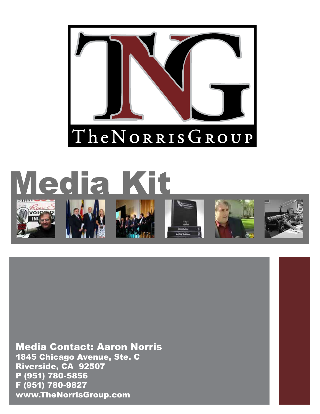



Media Contact: Aaron Norris 1845 Chicago Avenue, Ste. C Riverside, CA 92507 P (951) 780-5856 F (951) 780-9827 www.TheNorrisGroup.com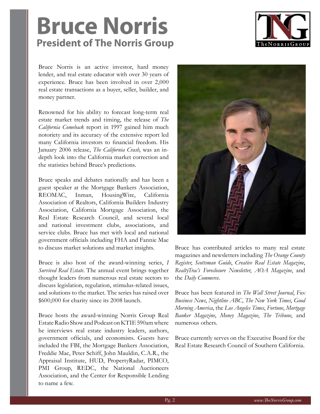### **Bruce Norris President of The Norris Group**



Bruce Norris is an active investor, hard money lender, and real estate educator with over 30 years of experience. Bruce has been involved in over 2,000 real estate transactions as a buyer, seller, builder, and money partner.

Renowned for his ability to forecast long-term real estate market trends and timing, the release of *The California Comeback* report in 1997 gained him much notoriety and its accuracy of the extensive report led many California investors to financial freedom. His January 2006 release, *The California Crash*, was an indepth look into the California market correction and the statistics behind Bruce's predictions.

Bruce speaks and debates nationally and has been a guest speaker at the Mortgage Bankers Association, REOMAC, Inman, HousingWire, California Association of Realtors, California Builders Industry Association, California Mortgage Association, the Real Estate Research Council, and several local and national investment clubs, associations, and service clubs. Bruce has met with local and national government officials including FHA and Fannie Mae to discuss market solutions and market insights.

Bruce is also host of the award-winning series, *I Survived Real Estate*. The annual event brings together thought leaders from numerous real estate sectors to discuss legislation, regulation, stimulus-related issues, and solutions to the market. The series has raised over \$600,000 for charity since its 2008 launch.

Bruce hosts the award-winning Norris Group Real Estate Radio Show and Podcast on KTIE 590am where he interviews real estate industry leaders, authors, government officials, and economists. Guests have included the FBI, the Mortgage Bankers Association, Freddie Mac, Peter Schiff, John Mauldin, C.A.R., the Appraisal Institute, HUD, PropertyRadar, PIMCO, PMI Group, REDC, the National Auctioneers Association, and the Center for Responsible Lending to name a few.



Bruce has contributed articles to many real estate magazines and newsletters including *The Orange County Register*, *Scottsman Guide*, *Creative Real Estate Magazine*, *RealtyTrac's Foreclosure Newsletter*, *AOA Magazine*, and the *Daily Commerce*.

Bruce has been featured in *The Wall Street Journal*, *Fox Business News*, *Nightline ABC*, *The New York Times*, *Good Morning America*, the *Los Angeles Times*, *Fortune*, *Mortgage Banker Magazine*, *Money Magazine*, *The Tribune*, and numerous others.

Bruce currently serves on the Executive Board for the Real Estate Research Council of Southern California.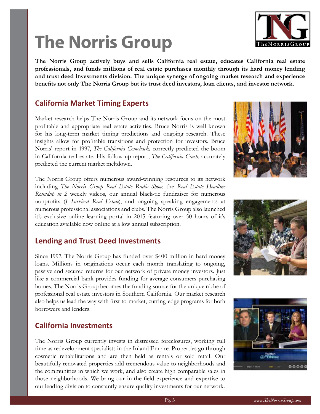# **The Norris Group**

**The Norris Group actively buys and sells California real estate, educates California real estate professionals, and funds millions of real estate purchases monthly through its hard money lending and trust deed investments division. The unique synergy of ongoing market research and experience benefits not only The Norris Group but its trust deed investors, loan clients, and investor network.**

#### **California Market Timing Experts**

Market research helps The Norris Group and its network focus on the most profitable and appropriate real estate activities. Bruce Norris is well known for his long-term market timing predictions and ongoing research. These insights allow for profitable transitions and protection for investors. Bruce Norris' report in 1997, *The California Comeback,* correctly predicted the boom in California real estate. His follow up report, *The California Crash*, accurately predicted the current market meltdown.

The Norris Group offers numerous award-winning resources to its network including *The Norris Group Real Estate Radio Show*, the *Real Estate Headline Roundup in 2* weekly videos, our annual black-tie fundraiser for numerous nonprofits (*I Survived Real Estate*), and ongoing speaking engagements at numerous professional associations and clubs. The Norris Group also launched it's exclusive online learning portal in 2015 featuring over 50 hours of it's education available now online at a low annual subscription.

#### **Lending and Trust Deed Investments**

Since 1997, The Norris Group has funded over \$400 million in hard money loans. Millions in originations occur each month translating to ongoing, passive and secured returns for our network of private money investors. Just like a commercial bank provides funding for average consumers purchasing homes, The Norris Group becomes the funding source for the unique niche of professional real estate investors in Southern California. Our market research also helps us lead the way with first-to-market, cutting-edge programs for both borrowers and lenders.

#### **California Investments**

The Norris Group currently invests in distressed foreclosures, working full time as redevelopment specialists in the Inland Empire. Properties go through cosmetic rehabilitations and are then held as rentals or sold retail. Our beautifully renovated properties add tremendous value to neighborhoods and the communities in which we work, and also create high comparable sales in those neighborhoods. We bring our in-the-field experience and expertise to our lending division to constantly ensure quality investments for our network.







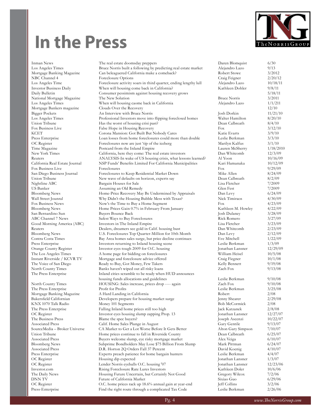## **In the Press**



Mortgage Bankers magazine

Press-Enterprise Find the right route through a complicated Tax Code Le

Inman News The real estate doomsday preppers Daren Blomquist 6/30 Los Angeles Times Bruce Norris built a following by predicting real estate market Ale Mortgage Banking Magazine Can beleaguered California make a comeback? Robert Stowe 31, 2012 NBC Channel 4 Foreclosure Options Craig Feigner 2. Craig Feigner 2. Craig Feigner 2. Craig Feigner 2. Craig Feigner 2. Craig Feigner 2. Craig Feigner 2. Craig Feigner 2. Alexander 2. Alexander 2. Alexander 2. Alexander 2. Foreclosure activity soars in third quarter, ending lengthy lull Investor Business Daily When will housing come back in California? Kathleen Docker 9/8/11 Daily Bulletin **Consumer pessimism against housing recovery grows** National Mortgage Magazine The New Solution and Bruce Norris 3/2011 and Bruce Norris 3/2011 and Bruce Norris 3/2011 and Bruce Norris 3/2011 and Bruce Norris 3/2011 and Bruce Norris 3/2011 and Bruce North 3/2011 and Bruce N Los Angeles Times When will housing caome back in California Ale<br>Mortgage Bankers magazine Clouds Over the Recovery Bigger Pockets An Interview with Bruce Norris Jos Los Angeles Times Professional Investors move into flipping foreclosed homes Walter Union Tribune Has the worst of housing crisi past? Has the worst of housing crisi past?  $D\epsilon$ Fox Business Live False Hope in Housing Recovery Fox Business Live Fox 3/12/10 Fox 3/12/10 For 3/12/10 For 3/12/10 For 3/12/10 For 3/12/10 For 3/12/10 For 3/10/10 For 3/12/10 For 3/10/10 For 3/12/10 For 3/12/10 For 3/10/10 Corona Mansion: Got Built But Nobody Cares Ka Press Enterprise Loan losses from home foreclosures could more than double Le OC Register Foreclosures now are just 'tip of the iceberg Marilyn Marilyn Kalefus 3/100 Marchus 3/100 Marchus 3/100 Marchus 3/100 Marchus 3/100 Marchus 3/100 Marchus 3/100 Marchus 3/100 Marchus 3/100 Marchus 3/100 Marchus Time Magazine **Postcard from the Inland Empire** Lauren Magazine Lauren McSherry 1.2010 New York Times California, here they come: The real estate investors Dan Dan White Reuters ANALYSIS-In wake of US housing crisis, what lessons learned? Al California Real Estate Journal NSP Funds' Benefits Limited For California Municipalities Ka Fox Business Live Foreclosures Foreclosures Foreclosures Foreclosures Foreclosures Foreclosures Foreclosures Fo San Diego Business Journal Foreclosures to Keep Residential Market Down Mi Union Tribune New wave of defaults on horizon, experts say De<br>Nightline ABC Bargain Houses for Sale Lis Bargain Houses for Sale Lis US Banker (Glennach Assuming an Old Remedy (Glennach Fest) (Glennach Fest 7, 2009)<br>Bloomberg News (Home-Price Recovery May Be Undermined by Appraisals (Da Home-Price Recovery May Be Undermined by Appraisals Da Wall Street Jounral Why Didn't the Housing Bubble Mess with Texas? Nic Fox Business News Now's the Time to Buy a Home Segment Fox 4.43 Bloomberg News Home Prices Gain 0.7% in February From January Kathleen M. Kathleen M. However, A. Howley 4, 22 San Bernardino Sun Buyers Bounce Back Josh Dulaney 3/28/09 ABC Channel 7 News Safest Ways to Buy Foreclosures Rick Romero 3/27/09 and 3/27/09 and 3/27/09 and 3/27/09 and 3/27/09 and 3/27/09 and 3/27/09 and 3/27/09 and 3/27/09 and 3/27/09 and 3/27/09 and 3/27/09 and 3/27/09 and 3/2 Good Morning America (ABC) Investors in The Inland Empire The Inland Empire Reuters Dealers, dreamers see gold in Calif. housing bust Dan Whitcomb 2/23/09 U.S. Foreclosures Top Quarter-Million for 10th Month Da Contra Costa Times Bay Area homes sales surge, but price decline continues Eve Mitchell 1 Press Enterprise Investors returning to Inland housing scene Le Orange County Register Investor eyes tough 2009 for O.C. housing Jonathan Lansner 12009 for O.C. housing The Los Angeles Times A home page for bidding on foreclosures William Heisel 10/5/08 Minimum Heisel 10/5/08/08/08/08/08 Minimum Heisel 10/5/08/08 Minimum Heisel 10/5/08/08 Minimum Heisel 10/5/08/08/08 Minimum Heisel 10/5/0 Mortgage and foreclosure advice offered Craig Field The Voice of San Diego Ready to Buy, Got Money, Few Takers Kelly Bennett 9/19/19/08 North County Times Banks haven't wiped out all risky loans Za The Press Enterprise Inland cities scramble to be ready when HUD announces housing funds allocations and guidelines Leslie Berkman 9. Les North County Times HOUSING: Sales increase, prices drop ---- again Za The Press Enterprise Profit for Profits Les Mortgage Banking Magazine A Hard Landing in California Robert 2080 Bakersfield Californian Developers prepare for housing market surge Jenny Shearer 2016 KNX 1070 Talk Radio Money 101 Segments Bob McCoremic 2080 Bob McCoremic 2080 Bob McCoremick 2080 Bob McCoremick 2080 Bob McCoremick 2080 Bob McCoremick 2080 Bob McCoremick 2080 Bob McCoremick 2080 Bob McCoremick 2080 Bob M The Press Enterprise Falling Inland home prices still too high Jack Katzanek 2/8/08 OC Register Investor eyes housing slump zapping Prop. 13 Jonathan Lansners Press 2014 and Lansner 12. Jonathan Lansner 12. 108 Jonathan Lansner 12. 108 Jonathan Lansner 12. 108 Jonathan Lansner 12. 108 Jonathan Lansner 12. The Blame the spec buyers? Joseph Ascenzi 1008 Associated Press Calif. Home Sales Plunge in August Gary Gentile 9/13/07 SourceMedia – Broker Universe CA Market to Get a Lot Worse Before It Gets Better Alton Gary Simpson 7/10/07 Home prices continue to fall in Riverside County  $De$ Associated Press Buyers welcome slump, eye risky mortgage market Alex Veiga 6/10/07/07 Bloomberg News Subprime Bondholders May Lose \$75 Billion From Slump Ma Associated Press D.R. Horton 2Q Orders Fall 37 Percent David Koenig 4. In a set of the U.R. Horton 2Q Orders Fall 37 Percent Press Enterprise Experts preach patience for home bargain hunters Leslie Berkman 4/4/07 Housing dip expected Jonathan Lansner 1, 300 and 1007 and 1007 and 1007 and 1007 and 1007 and 1007 and 1007 and 1007 and 1007 and 1007 and 1007 and 1007 and 1007 and 1007 and 1007 and 1007 and 1007 and 1007 and 1007 and 10 OC Register Lender Norris eyeballs O.C. housing '07 Jon Investor.com Rising Foreclosure Rate Lures Investors Ka The Daily News Housing Future Uncertain, but Certainly Not Good Gregory & Gregory Wilcox 7. DNN TV Future of California Market Six<br>OC Register COC. home prices rack up 18.6% annual gain at vear-end Ief OC Register O.C. home prices rack up 18.6% annual gain at year-end

| ıren Blomquist   | 6/30      |
|------------------|-----------|
| ejandro Lazo     | 9/13      |
| bert Stowe       | 3/2012    |
| aig Feigner      | 2/20/12   |
|                  |           |
| ejandro Lazo     | 10/18/11  |
| ithleen Dohler   | 9/8/11    |
|                  | 5/18/11   |
| uce Norris       | 3/2011    |
| ejandro Lazo     | 1/1/211   |
|                  | 12/10     |
| sh Dorkin        | 11/21/10  |
|                  |           |
| alter Hamilton   | 8/20/10   |
| ean Calbreath    | 8/4/10    |
| X                | 3/12/10   |
| ttie Evarts      | 3/9/10    |
| slie Berkman     | 3/3/10    |
| urilyn Kalfus    | 3/1/10    |
| uren McSherry    | 1/18/2010 |
|                  |           |
| in Whitcomb      | 12/3/09   |
| Yoon             | 10/16/09  |
| ıri Hamanaka     | 10/12/09  |
| X                | 9/29/09   |
| ke Allen         | 8/24/09   |
| ean Calbreath    | 8/2/09    |
| sa Fletcher      | 7/2009    |
|                  |           |
| en Fest          | 7/2009    |
| in Levy          | 6/24/09   |
| ck Timiraos      | 4/30/09   |
| X                | 4/23/09   |
| thleen M. Howley | 4/22/09   |
| sh Dulaney       | 3/28/09   |
| ck Romero        | 3/27/09   |
|                  |           |
| sa Fletcher      | 3/23/09   |
| in Whitcomb      | 2/23/09   |
| in Levy          | 2/12/09   |
| e Mitchell       | 1/22/09   |
| slie Berkman     | 1/3/09    |
| nathan Lansner   | 12/29/09  |
| lliam Heisel     | 10/5/08   |
|                  |           |
| aig Fiegner      | 10/1/08   |
| lly Bennett      | 9/19/08   |
| ch Fox           | 9/13/08   |
|                  |           |
| slie Berkman     | 9/10/08   |
| ch Fox           | 9/10/08   |
| slie Berkman     | 3/25/08   |
| bert             | 2/08      |
|                  |           |
| ny Shearer       | 2/29/08   |
| b McCormick      | 2/08      |
| k Katzanek       | 2/8/08    |
| iathan Lansner   | 12/27/07  |
| seph Ascenzi     | 10/22/07  |
| iry Gentile      | 9/13/07   |
| ton Gary Simpson | 7/10/07   |
|                  |           |
| an Calbreath     | 6/25/07   |
| ex Veiga         | 6/10/07   |
| urk Pittman      | 6/24/07   |
| vid Koenig       | 4/10/07   |
| slie Berkman     | 4/4/07    |
| nathan Lansner   | 1/3/07    |
| nathan Lansner   | 12/23/06  |
|                  |           |
| thleen Doler     | 10/6/06   |
| egory Wilcox     | 7/2/06    |
| iao Guo          | 6/29/06   |
| f Collins        | 3/2/06    |
| slie Berkman     | 2/26/06   |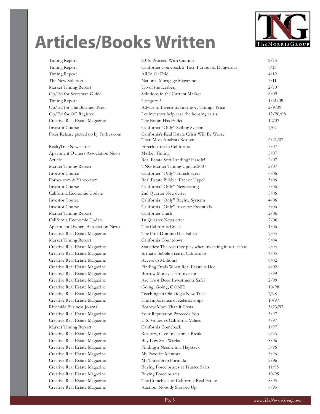# **Articles/Books Written**



| Timing Report                         | 2015: Proceed With Caution                                                  | 2/15     |
|---------------------------------------|-----------------------------------------------------------------------------|----------|
| Timing Report                         | California Comeback 2: Fast, Furious & Dangerous                            | 7/13     |
| Timing Report                         | All In Or Fold                                                              | 4/12     |
| The New Solution                      | National Mortgage Magazine                                                  | 3/11     |
| Market Timing Report                  | Tip of the Icerberg                                                         | 2/10     |
| Op/Ed for Scotsman Guide              | Solutions in the Current Market                                             | 8/09     |
| Timing Report                         | Category 5                                                                  | 1/31/09  |
| Op/Ed for The Business Press          | Advice to Investors: Inventory Trumps Price                                 | 2/9/09   |
| Op/Ed for OC Register                 | Let investors help ease the housing crisis                                  | 12/20/08 |
| Creative Real Estate Magazine         | The Boom Has Ended                                                          | 12/07    |
| <b>Investor Course</b>                | California "Only" Selling System                                            | 7/07     |
| Press Release picked up by Forbes.com | California's Real Estate Crisis Will Be Worse<br>Than Most Analysts Realize | 6/21/07  |
| RealtyTrac Newsletter                 | Foreclosures in California                                                  | 5/07     |
| Apartment Owners Association News     | Market Timing                                                               | 5/07     |
| Article                               | Real Estate Soft Landing? Hardly!                                           | 2/07     |
| Market Timing Report                  | TNG Market Timing Update 2007                                               | 2/07     |
| <b>Investor Course</b>                | California "Only" Foreclosures                                              | 6/06     |
| Forbes.com & Yahoo.com                | Real Estate Bubble: Fact or Hype?                                           | 5/06     |
| <b>Investor Course</b>                | California "Only" Negotiating                                               | 5/06     |
| California Economic Update            | 2nd Quarter Newsletter                                                      | 5/06     |
| <b>Investor Course</b>                | California "Only" Buying Systems                                            | 4/06     |
| <b>Investor Course</b>                | California "Only" Investor Essentials                                       | 3/06     |
| Market Timing Report                  | California Crash                                                            | 2/06     |
| California Economic Update            | 1st Quarter Newsletter                                                      | 2/06     |
| Apartment Owners Association News     | The California Crash                                                        | 1/06     |
| Creative Real Estate Magazine         | The First Domino Has Fallen                                                 | 9/05     |
| Market Timing Report                  | California Countdown                                                        | 9/04     |
| Creative Real Estate Magazine         | Statistics: The role they play when investing in real estate.               | 9/03     |
| Creative Real Estate Magazine         | Is that a bubble I see in California?                                       | 4/03     |
| Creative Real Estate Magazine         | Access to Millions!                                                         | 9/02     |
| Creative Real Estate Magazine         | Finding Deals When Real Estate is Hot                                       | 4/02     |
| Creative Real Estate Magazine         | Borrow Money as an Investor                                                 | 3/99     |
| Creative Real Estate Magazine         | Are Trust Deed Investments Safe?                                            | 2/99     |
| Creative Real Estate Magazine         | Going, Going, GONE!                                                         | 10/98    |
| Creative Real Estate Magazine         | Teaching an Old Dog a New Trick                                             | 7/98     |
| Creative Real Estate Magazine         | The Importance of Relationships                                             | 10/97    |
| Riverside Business Journal            | Borrow More Than it Costs                                                   | 5/23/97  |
| Creative Real Estate Magazine         | Your Reputation Proceeds You                                                | 5/97     |
| Creative Real Estate Magazine         | U.S. Values vs California Values                                            | 4/97     |
| Market Timing Report                  | California Comeback                                                         | 1/97     |
| Creative Real Estate Magazine         | Realtors, Give Investors a Break!                                           | 9/96     |
| Creative Real Estate Magazine         | <b>Buy Low Still Works</b>                                                  | 8/96     |
| Creative Real Estate Magazine         | Finding a Needle in a Haystack                                              | 5/96     |
| Creative Real Estate Magazine         | My Favorite Mentors                                                         | 3/96     |
| Creative Real Estate Magazine         | My Three Step Formula                                                       | 2/96     |
| Creative Real Estate Magazine         | Buying Foreclosures at Trustee Sales                                        | 11/95    |
| Creative Real Estate Magazine         | <b>Buying Foreclosures</b>                                                  | 10/95    |
| Creative Real Estate Magazine         | The Comeback of California Real Estate                                      | 8/95     |
| Creative Real Estate Magazine         | Auction: Nobody Showed Up!                                                  | 6/95     |
|                                       |                                                                             |          |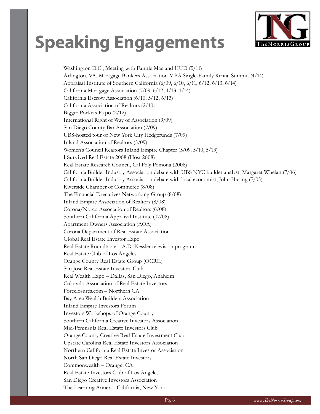## **Speaking Engagements**



Washington D.C., Meeting with Fannie Mae and HUD (5/11) Arlington, VA, Mortgage Bankers Association MBA Single-Family Rental Summit (4/14) Appraisal Institute of Southern California (6/09, 6/10, 6/11, 6/12, 6/13, 6/14) California Mortgage Association (7/09, 6/12, 1/13, 1/14) California Escrow Association (6/10, 5/12, 6/13) California Association of Realtors (2/10) Bigger Pockets Expo (2/12) International Right of Way of Association (9/09) San Diego County Bar Association (7/09) UBS-hosted tour of New York City Hedgefunds (7/09) Inland Association of Realtors (5/09) Women's Council Realtors Inland Empire Chapter (5/09, 5/10, 5/13) I Survived Real Estate 2008 (Host 2008) Real Estate Research Council, Cal Poly Pomona (2008) California Builder Industry Association debate with UBS NYC builder analyst, Margaret Whelan (7/06) California Builder Industry Association debate with local economist, John Husing (7/05) Riverside Chamber of Commerce (8/08) The Financial Executives Networking Group (8/08) Inland Empire Association of Realtors (8/08) Corona/Norco Association of Realtors (6/08) Southern California Appraisal Institute (07/08) Apartment Owners Association (AOA) Corona Department of Real Estate Association Global Real Estate Investor Expo Real Estate Roundtable – A.D. Kessler television program Real Estate Club of Los Angeles Orange County Real Estate Group (OCRE) San Jose Real Estate Investors Club Real Wealth Expo – Dallas, San Diego, Anaheim Colorado Association of Real Estate Investors Foreclosures.com – Northern CA Bay Area Wealth Builders Association Inland Empire Investors Forum Investors Workshops of Orange County Southern California Creative Investors Association Mid-Peninsula Real Estate Investors Club Orange County Creative Real Estate Investment Club Upstate Carolina Real Estate Investors Association Northern California Real Estate Investor Association North San Diego Real Estate Investors Commonwealth – Orange, CA Real Estate Investors Club of Los Angeles San Diego Creative Investors Association The Learning Annex – California, New York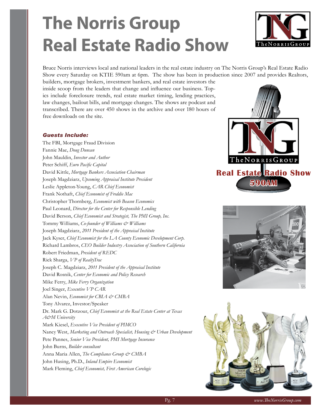# **The Norris Group Real Estate Radio Show**



Bruce Norris interviews local and national leaders in the real estate industry on The Norris Group's Real Estate Radio Show every Saturday on KTIE 590am at 6pm. The show has been in production since 2007 and provides Realtors,

builders, mortgage brokers, investment bankers, and real estate investors the inside scoop from the leaders that change and influence our business. Topics include foreclosure trends, real estate market timing, lending practices, law changes, bailout bills, and mortgage changes. The shows are podcast and transcribed. There are over 450 shows in the archive and over 180 hours of free downloads on the site.

#### *Guests Include:*

The FBI, Mortgage Fraud Division Fannie Mae, *Doug Duncan* John Mauldin, *Investor and Author*  Peter Schiff, *Euro Pacific Capital* David Kittle, *Mortgage Bankers Association Chairman* Joseph Magdziarz, *Upcoming Appraisal Institute President* Leslie Appleton-Young, *CAR Chief Economist* Frank Nothaft, *Chief Economist of Freddie Mac* Christopher Thornberg, *Economist with Beacon Economics* Paul Leonard, *Director for the Center for Responsible Lending* David Berson, *Chief Economist and Strategist, The PMI Group, Inc.* Tommy Williams, *Co-founder of Williams & Williams*  Joseph Magdziarz, *2011 President of the Appraisal Institute* Jack Kyser, *Chief Economist for the LA County Economic Development Corp.* Richard Lambros, *CEO Builder Industry Association of Southern California* Robert Friedman, *President of REDC* Rick Sharga, *VP of RealtyTrac* Joseph C. Magdziarz, *2011 President of the Appraisal Institute* David Rosnik, *Center for Economic and Policy Research*  Mike Ferry, *Mike Ferry Organization*  Joel Singer, *Executive VP CAR*  Alan Nevin, *Economist for CBIA* & CMBA Tony Alvarez, Investor/Speaker Dr. Mark G. Dotzour, *Chief Economist at the Real Estate Center at Texas A&M University* Mark Kiesel, *Executive Vice President of PIMCO* Nancy West, *Marketing and Outreach Specialist, Housing & Urban Development* Pete Pannes, *Senior Vice President, PMI Mortgage Insurance* John Burns, *Builder consultant* Anna Maria Allen, *The Compliance Group & CMBA* John Husing, Ph.D., *Inland Empire Economist* Mark Fleming, *Chief Economist, First American Corelogic*





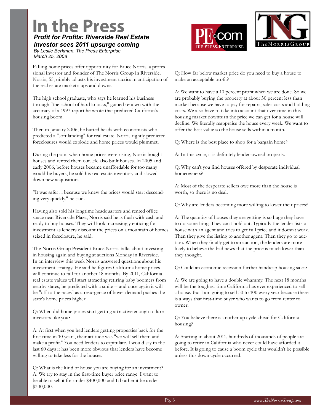### **In the Press** *Profit for Profits: Riverside Real Estate*

*investor sees 2011 upsurge coming* 

*By Leslie Berkman, The Press Enterprise March 25, 2008*





Falling home prices offer opportunity for Bruce Norris, a professional investor and founder of The Norris Group in Riverside. Norris, 55, nimbly adjusts his investment tactics in anticipation of the real estate market's ups and downs.

The high school graduate, who says he learned his business through "the school of hard knocks," gained renown with the accuracy of a 1997 report he wrote that predicted California's housing boom.

Then in January 2006, he butted heads with economists who predicted a "soft landing" for real estate. Norris rightly predicted foreclosures would explode and home prices would plummet.

During the point when home prices were rising, Norris bought houses and rented them out. He also built houses. In 2005 and early 2006, before houses became unaffordable for too many would-be buyers, he sold his real estate inventory and slowed down new acquisitions.

"It was safer ... because we knew the prices would start descending very quickly," he said.

Having also sold his longtime headquarters and rented office space near Riverside Plaza, Norris said he is flush with cash and ready to buy houses. They will look increasingly enticing for investment as lenders discount the prices on a mountain of homes seized in foreclosure, he said.

The Norris Group President Bruce Norris talks about investing in housing again and buying at auctions Monday in Riverside. In an interview this week Norris answered questions about his investment strategy. He said he figures California home prices will continue to fall for another 18 months. By 2011, California real estate values will start attracting retiring baby boomers from nearby states, he predicted with a smile -- and once again it will be "off to the races" as a resurgence of buyer demand pushes the state's home prices higher.

Q: When did home prices start getting attractive enough to lure investors like you?

A: At first when you had lenders getting properties back for the first time in 10 years, their attitude was "we will sell them and make a profit." You need lenders to capitulate. I would say in the last 60 days it has been more obvious that lenders have become willing to take less for the houses.

Q: What is the kind of house you are buying for an investment? A: We try to stay in the first-time buyer price range. I want to be able to sell it for under \$400,000 and I'd rather it be under \$300,000.

Q: How far below market price do you need to buy a house to make an acceptable profit?

A: We want to have a 10 percent profit when we are done. So we are probably buying the property at about 30 percent less than market because we have to pay for repairs, sales costs and holding costs. We also have to take into account that over time in this housing market downturn the price we can get for a house will decline. We literally reappraise the house every week. We want to offer the best value so the house sells within a month.

Q: Where is the best place to shop for a bargain home?

A: In this cycle, it is definitely lender-owned property.

Q: Why can't you find houses offered by desperate individual homeowners?

A: Most of the desperate sellers owe more than the house is worth, so there is no deal.

Q: Why are lenders becoming more willing to lower their prices?

A: The quantity of houses they are getting is so huge they have to do something. They can't hold out. Typically the lender lists a house with an agent and tries to get full price and it doesn't work. Then they give the listing to another agent. Then they go to auction. When they finally get to an auction, the lenders are more likely to believe the bad news that the price is much lower than they thought.

Q: Could an economic recession further handicap housing sales?

A: We are going to have a double whammy. The next 18 months will be the toughest time California has ever experienced to sell a house. But I am going to sell 50 to 100 every year because there is always that first-time buyer who wants to go from renter to owner.

Q: You believe there is another up cycle ahead for California housing?

A: Starting in about 2011, hundreds of thousands of people are going to retire in California who never could have afforded it before. It is going to cause a boom cycle that wouldn't be possible unless this down cycle occurred.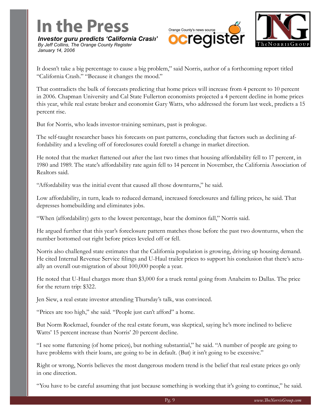### **In the Press** *Investor guru predicts 'California Crash'*

*By Jeff Collins, The Orange County Register January 14, 2006*



It doesn't take a big percentage to cause a big problem," said Norris, author of a forthcoming report titled "California Crash." "Because it changes the mood."

That contradicts the bulk of forecasts predicting that home prices will increase from 4 percent to 10 percent in 2006. Chapman University and Cal State Fullerton economists projected a 4 percent decline in home prices this year, while real estate broker and economist Gary Watts, who addressed the forum last week, predicts a 15 percent rise.

But for Norris, who leads investor-training seminars, past is prologue.

The self-taught researcher bases his forecasts on past patterns, concluding that factors such as declining affordability and a leveling off of foreclosures could foretell a change in market direction.

He noted that the market flattened out after the last two times that housing affordability fell to 17 percent, in 1980 and 1989. The state's affordability rate again fell to 14 percent in November, the California Association of Realtors said.

"Affordability was the initial event that caused all those downturns," he said.

Low affordability, in turn, leads to reduced demand, increased foreclosures and falling prices, he said. That depresses homebuilding and eliminates jobs.

"When (affordability) gets to the lowest percentage, hear the dominos fall," Norris said.

He argued further that this year's foreclosure pattern matches those before the past two downturns, when the number bottomed out right before prices leveled off or fell.

Norris also challenged state estimates that the California population is growing, driving up housing demand. He cited Internal Revenue Service filings and U-Haul trailer prices to support his conclusion that there's actually an overall out-migration of about 100,000 people a year.

He noted that U-Haul charges more than \$3,000 for a truck rental going from Anaheim to Dallas. The price for the return trip: \$322.

Jen Siew, a real estate investor attending Thursday's talk, was convinced.

"Prices are too high," she said. "People just can't afford" a home.

But Norm Rockmael, founder of the real estate forum, was skeptical, saying he's more inclined to believe Watts' 15 percent increase than Norris' 20 percent decline.

"I see some flattening (of home prices), but nothing substantial," he said. "A number of people are going to have problems with their loans, are going to be in default. (But) it isn't going to be excessive."

Right or wrong, Norris believes the most dangerous modern trend is the belief that real estate prices go only in one direction.

"You have to be careful assuming that just because something is working that it's going to continue," he said.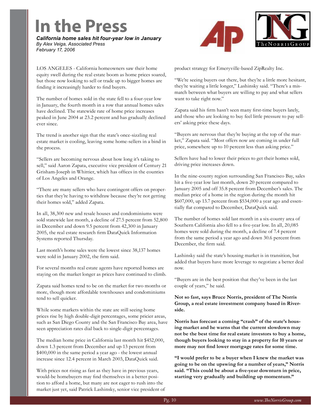## **In the Press**

*California home sales hit four-year low in January By Alex Veiga, Associated Press February 17, 2006*



LOS ANGELES - California homeowners saw their home equity swell during the real estate boom as home prices soared, but those now looking to sell or trade up to bigger homes are finding it increasingly harder to find buyers.

The number of homes sold in the state fell to a four-year low in January, the fourth month in a row that annual homes sales have declined. The statewide rate of home price increases peaked in June 2004 at 23.2 percent and has gradually declined ever since.

The trend is another sign that the state's once-sizzling real estate market is cooling, leaving some home-sellers in a bind in the process.

"Sellers are becoming nervous about how long it's taking to sell," said Aaron Zapata, executive vice president of Century 21 Grisham-Joseph in Whittier, which has offices in the counties of Los Angeles and Orange.

"There are many sellers who have contingent offers on properties that they're having to withdraw because they're not getting their homes sold," added Zapata.

In all, 38,300 new and resale houses and condominiums were sold statewide last month, a decline of 27.5 percent from 52,800 in December and down 9.5 percent from 42,300 in January 2005, the real estate research firm DataQuick Information Systems reported Thursday.

Last month's home sales were the lowest since 38,137 homes were sold in January 2002, the firm said.

For several months real estate agents have reported homes are staying on the market longer as prices have continued to climb.

Zapata said homes tend to be on the market for two months or more, though more affordable townhouses and condominiums tend to sell quicker.

While some markets within the state are still seeing home prices rise by high double-digit percentages, some pricier areas, such as San Diego County and the San Francisco Bay area, have seen appreciation rates dial back to single-digit percentages.

The median home price in California last month hit \$452,000, down 1.3 percent from December and up 13 percent from \$400,000 in the same period a year ago - the lowest annual increase since 12.4 percent in March 2003, DataQuick said.

With prices not rising as fast as they have in previous years, would-be homebuyers may find themselves in a better position to afford a home, but many are not eager to rush into the market just yet, said Patrick Lashinsky, senior vice president of product strategy for Emeryville-based ZipRealty Inc.

"We're seeing buyers out there, but they're a little more hesitant, they're waiting a little longer," Lashinsky said. "There's a mismatch between what buyers are willing to pay and what sellers want to take right now."

Zapata said his firm hasn't seen many first-time buyers lately, and those who are looking to buy feel little pressure to pay sellers' asking price these days.

"Buyers are nervous that they're buying at the top of the market," Zapata said. "Most offers now are coming in under full price, somewhere up to 10 percent less than asking price."

Sellers have had to lower their prices to get their homes sold, driving price increases down.

In the nine-county region surrounding San Francisco Bay, sales hit a five-year low last month, down 20 percent compared to January 2005 and off 35.8 percent from December's sales. The median price of a home in the region during the month hit \$607,000, up 13.7 percent from \$534,000 a year ago and essentially flat compared to December, DataQuick said.

The number of homes sold last month in a six-county area of Southern California also fell to a five-year low. In all, 20,085 homes were sold during the month, a decline of 7.4 percent from the same period a year ago and down 30.6 percent from December, the firm said.

Lashinsky said the state's housing market is in transition, but added that buyers have more leverage to negotiate a better deal now.

"Buyers are in the best position that they've been in the last couple of years," he said.

**Not so fast, says Bruce Norris, president of The Norris Group, a real estate investment company based in Riverside.**

**Norris has forecast a coming "crash" of the state's housing market and he warns that the current slowdown may not be the best time for real estate investors to buy a home, though buyers looking to stay in a property for 10 years or more may not find lower mortgage rates for some time.**

**"I would prefer to be a buyer when I knew the market was going to be on the upswing for a number of years," Norris said. "This could be about a five-year downturn in price, starting very gradually and building up momentum."**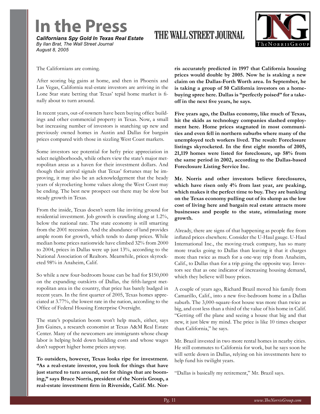### **In the Press**

*Californians Spy Gold In Texas Real Estate By Ilan Brat, The Wall Street Journal August 8, 2005*

#### THE WALL STREET JOURNAL



The Californians are coming.

After scoring big gains at home, and then in Phoenix and Las Vegas, California real-estate investors are arriving in the Lone Star state betting that Texas' tepid home market is finally about to turn around.

In recent years, out-of-towners have been buying office buildings and other commercial property in Texas. Now, a small but increasing number of investors is snatching up new and previously owned homes in Austin and Dallas for bargain prices compared with those in sizzling West Coast markets.

Some investors see potential for hefty price appreciation in select neighborhoods, while others view the state's major metropolitan areas as a haven for their investment dollars. And though their arrival signals that Texas' fortunes may be improving, it may also be an acknowledgement that the heady years of skyrocketing home values along the West Coast may be ending. The best new prospect out there may be slow but steady growth in Texas.

From the inside, Texas doesn't seem like inviting ground for residential investment. Job growth is crawling along at 1.2%, below the national rate. The state economy is still smarting from the 2001 recession. And the abundance of land provides ample room for growth, which tends to damp prices. While median home prices nationwide have climbed 32% from 2000 to 2004, prices in Dallas were up just 13%, according to the National Association of Realtors. Meanwhile, prices skyrocketed 98% in Anaheim, Calif.

So while a new four-bedroom house can be had for \$150,000 on the expanding outskirts of Dallas, the fifth-largest metropolitan area in the country, that price has barely budged in recent years. In the first quarter of 2005, Texas homes appreciated at 3.77%, the lowest rate in the nation, according to the Office of Federal Housing Enterprise Oversight.

The state's population boom won't help much, either, says Jim Gaines, a research economist at Texas A&M Real Estate Center. Many of the newcomers are immigrants whose cheap labor is helping hold down building costs and whose wages don't support higher home prices anyway.

**To outsiders, however, Texas looks ripe for investment. "As a real-estate investor, you look for things that have just started to turn around, not for things that are booming," says Bruce Norris, president of the Norris Group, a real-estate investment firm in Riverside, Calif. Mr. Nor-** **ris accurately predicted in 1997 that California housing prices would double by 2005. Now he is staking a new claim on the Dallas-Forth Worth area. In September, he is taking a group of 50 California investors on a homebuying spree here. Dallas is "perfectly poised" for a takeoff in the next five years, he says.**

**Five years ago, the Dallas economy, like much of Texas, hit the skids as technology companies slashed employment here. Home prices stagnated in most communities and even fell in northern suburbs where many of the unemployed tech workers lived. The result: Foreclosure listings skyrocketed. In the first eight months of 2005, 21,119 homes were listed for foreclosure, up 58% from the same period in 2002, according to the Dallas-based Foreclosure Listing Service Inc.**

**Mr. Norris and other investors believe foreclosures, which have risen only 4% from last year, are peaking, which makes it the perfect time to buy. They are banking on the Texas economy pulling out of its slump as the low cost of living here and bargain real estate attracts more businesses and people to the state, stimulating more growth.**

Already, there are signs of that happening as people flee from inflated prices elsewhere. Consider the U-Haul gauge. U-Haul International Inc., the moving-truck company, has so many more trucks going to Dallas than leaving it that it charges more than twice as much for a one-way trip from Anaheim, Calif., to Dallas than for a trip going the opposite way. Investors see that as one indicator of increasing housing demand, which they believe will buoy prices.

A couple of years ago, Richard Brazil moved his family from Camarillo, Calif., into a new five-bedroom home in a Dallas suburb. The 3,000-square-foot house was more than twice as big, and cost less than a third of the value of his home in Calif. "Getting off the plane and seeing a house that big and that new, it just blew my mind. The price is like 10 times cheaper than California," he says.

Mr. Brazil invested in two more rental homes in nearby cities. He still commutes to California for work, but he says soon he will settle down in Dallas, relying on his investments here to help fund his twilight years.

"Dallas is basically my retirement," Mr. Brazil says.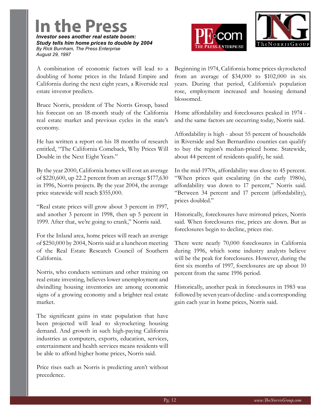**In the Press** *Investor sees another real estate boom: Study tells him home prices to double by 2004 By Rick Burnham, The Press Enterprise August 29, 1997*

A combination of economic factors will lead to a doubling of home prices in the Inland Empire and California during the next eight years, a Riverside real estate investor predicts.

Bruce Norris, president of The Norris Group, based his forecast on an 18-month study of the California real estate market and previous cycles in the state's economy.

He has written a report on his 18 months of research entitled, "The California Comeback, Why Prices Will Double in the Next Eight Years."

By the year 2000, California homes will cost an average of \$220,600, up 22.2 percent from an average \$177,630 in 1996, Norris projects. By the year 2004, the average price statewide will reach \$355,000.

"Real estate prices will grow about 3 percent in 1997, and another 3 percent in 1998, then up 5 percent in 1999. After that, we're going to crank," Norris said.

For the Inland area, home prices will reach an average of \$250,000 by 2004, Norris said at a luncheon meeting of the Real Estate Research Council of Southern California.

Norris, who conducts seminars and other training on real estate investing, believes lower unemployment and dwindling housing inventories are among economic signs of a growing economy and a brighter real estate market.

The significant gains in state population that have been projected will lead to skyrocketing housing demand. And growth in such high-paying California industries as computers, exports, education, services, entertainment and health services means residents will be able to afford higher home prices, Norris said.

Price rises such as Norris is predicting aren't without precedence.





Beginning in 1974, California home prices skyrocketed from an average of  $$34,000$  to  $$102,000$  in six years. During that period, California's population rose, employment increased and housing demand blossomed.

Home affordability and foreclosures peaked in 1974 and the same factors are occurring today, Norris said.

Affordability is high - about 55 percent of households in Riverside and San Bernardino counties can qualify to buy the region's median-priced home. Statewide, about 44 percent of residents qualify, he said.

In the mid-1970s, affordability was close to 45 percent. "When prices quit escalating (in the early 1980s), affordability was down to 17 percent," Norris said. "Between 34 percent and 17 percent (affordability), prices doubled."

Historically, foreclosures have mirrored prices, Norris said. When foreclosures rise, prices are down. But as foreclosures begin to decline, prices rise.

There were nearly 70,000 foreclosures in California during 1996, which some industry analysts believe will be the peak for foreclosures. However, during the first six months of 1997, foerclosures are up about 10 percent from the same 1996 period.

Historically, another peak in foreclosures in 1983 was followed by seven years of decline - and a corresponding gain each year in home prices, Norris said.